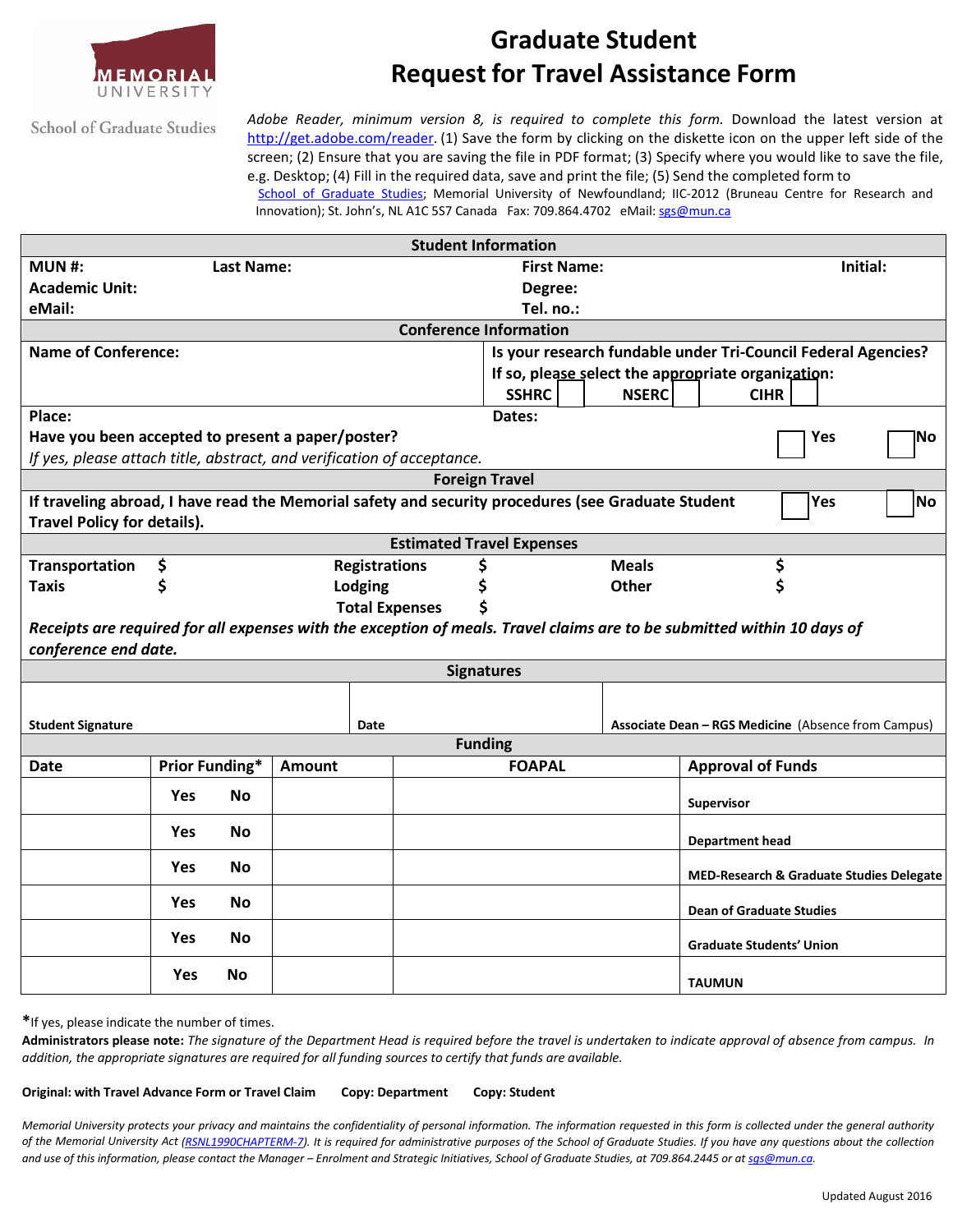

# **Graduate Student Request for Travel Assistance Form**

**School of Graduate Studies** 

*Adobe Reader, minimum version 8, is required to complete this form.* Download the latest version at [http://get.adobe.com/reader.](http://get.adobe.com/reader) (1) Save the form by clicking on the diskette icon on the upper left side of the screen; (2) Ensure that you are saving the file in PDF format; (3) Specify where you would like to save the file, e.g. Desktop; (4) Fill in the required data, save and print the file; (5) Send the completed form to School of Graduate Studies; Memorial University of Newfoundland; IIC-2012 (Bruneau Centre for Research and

Innovation); St. John's, NL A1C 5S7 Canada Fax: 709.864.4702 eMail: [sgs@mun.ca](mailto:sgs@mun.ca)

| <b>Student Information</b>                                                                                              |                       |           |               |                       |    |                                                               |              |                          |                                          |    |
|-------------------------------------------------------------------------------------------------------------------------|-----------------------|-----------|---------------|-----------------------|----|---------------------------------------------------------------|--------------|--------------------------|------------------------------------------|----|
| <b>MUN#:</b>                                                                                                            | <b>Last Name:</b>     |           |               |                       |    | <b>First Name:</b>                                            |              |                          | Initial:                                 |    |
| <b>Academic Unit:</b>                                                                                                   |                       |           |               |                       |    | Degree:                                                       |              |                          |                                          |    |
| eMail:                                                                                                                  |                       |           |               |                       |    | Tel. no.:                                                     |              |                          |                                          |    |
| <b>Conference Information</b>                                                                                           |                       |           |               |                       |    |                                                               |              |                          |                                          |    |
| <b>Name of Conference:</b>                                                                                              |                       |           |               |                       |    | Is your research fundable under Tri-Council Federal Agencies? |              |                          |                                          |    |
|                                                                                                                         |                       |           |               |                       |    | If so, please select the appropriate organization:            |              |                          |                                          |    |
|                                                                                                                         |                       |           |               |                       |    | <b>SSHRC</b>                                                  | <b>NSERC</b> |                          | <b>CIHR</b>                              |    |
| Place:                                                                                                                  |                       |           |               |                       |    | Dates:                                                        |              |                          |                                          |    |
| Have you been accepted to present a paper/poster?                                                                       |                       |           |               |                       |    |                                                               |              |                          | <b>Yes</b>                               | No |
| If yes, please attach title, abstract, and verification of acceptance.                                                  |                       |           |               |                       |    |                                                               |              |                          |                                          |    |
| <b>Foreign Travel</b>                                                                                                   |                       |           |               |                       |    |                                                               |              |                          |                                          |    |
| If traveling abroad, I have read the Memorial safety and security procedures (see Graduate Student                      |                       |           |               |                       |    |                                                               | Yes          | No                       |                                          |    |
| <b>Travel Policy for details).</b>                                                                                      |                       |           |               |                       |    |                                                               |              |                          |                                          |    |
| <b>Estimated Travel Expenses</b>                                                                                        |                       |           |               |                       |    |                                                               |              |                          |                                          |    |
| Transportation                                                                                                          | \$                    |           |               | <b>Registrations</b>  | \$ |                                                               | <b>Meals</b> |                          | \$                                       |    |
| <b>Taxis</b>                                                                                                            | \$                    |           |               | Lodging               |    |                                                               | <b>Other</b> |                          | \$                                       |    |
|                                                                                                                         |                       |           |               | <b>Total Expenses</b> |    |                                                               |              |                          |                                          |    |
| Receipts are required for all expenses with the exception of meals. Travel claims are to be submitted within 10 days of |                       |           |               |                       |    |                                                               |              |                          |                                          |    |
| conference end date.                                                                                                    |                       |           |               |                       |    |                                                               |              |                          |                                          |    |
| <b>Signatures</b>                                                                                                       |                       |           |               |                       |    |                                                               |              |                          |                                          |    |
|                                                                                                                         |                       |           |               |                       |    |                                                               |              |                          |                                          |    |
| <b>Student Signature</b><br>Date                                                                                        |                       |           |               |                       |    | Associate Dean - RGS Medicine (Absence from Campus)           |              |                          |                                          |    |
| <b>Funding</b>                                                                                                          |                       |           |               |                       |    |                                                               |              |                          |                                          |    |
| <b>Date</b>                                                                                                             | <b>Prior Funding*</b> |           | <b>Amount</b> |                       |    | <b>FOAPAL</b>                                                 |              | <b>Approval of Funds</b> |                                          |    |
|                                                                                                                         | Yes                   | <b>No</b> |               |                       |    |                                                               |              |                          |                                          |    |
|                                                                                                                         |                       |           |               |                       |    |                                                               |              | Supervisor               |                                          |    |
|                                                                                                                         | <b>Yes</b>            | <b>No</b> |               |                       |    |                                                               |              | <b>Department head</b>   |                                          |    |
|                                                                                                                         |                       | <b>No</b> |               |                       |    |                                                               |              |                          |                                          |    |
|                                                                                                                         | <b>Yes</b>            |           |               |                       |    |                                                               |              |                          | MED-Research & Graduate Studies Delegate |    |
|                                                                                                                         | <b>Yes</b>            | No        |               |                       |    |                                                               |              |                          | <b>Dean of Graduate Studies</b>          |    |
|                                                                                                                         | <b>Yes</b>            | No        |               |                       |    |                                                               |              |                          | <b>Graduate Students' Union</b>          |    |
|                                                                                                                         | <b>Yes</b>            | <b>No</b> |               |                       |    |                                                               |              | <b>TAUMUN</b>            |                                          |    |
|                                                                                                                         |                       |           |               |                       |    |                                                               |              |                          |                                          |    |

**\***If yes, please indicate the number of times.

Administrators please note: The signature of the Department Head is required before the travel is undertaken to indicate approval of absence from campus. In *addition, the appropriate signatures are required for all funding sources to certify that funds are available.*

**Original: with Travel Advance Form or Travel Claim Copy: Department Copy: Student**

Memorial University protects your privacy and maintains the confidentiality of personal information. The information requested in this form is collected under the general authority of the Memorial University Act [\(RSNL1990CHAPTERM-7\).](http://www.assembly.nl.ca/legislation/sr/statutes/m07.htm) It is required for administrative purposes of the School of Graduate Studies. If you have any questions about the collection and use of this information, please contact the Manager - Enrolment and Strategic Initiatives, School of Graduate Studies, at 709.864.2445 or at sas@mun.ca.